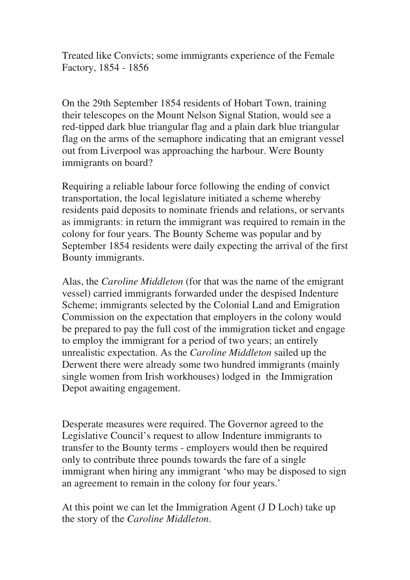Treated like Convicts; some immigrants experience of the Female Factory, 1854 - 1856

On the 29th September 1854 residents of Hobart Town, training their telescopes on the Mount Nelson Signal Station, would see a red-tipped dark blue triangular flag and a plain dark blue triangular flag on the arms of the semaphore indicating that an emigrant vessel out from Liverpool was approaching the harbour. Were Bounty immigrants on board?

Requiring a reliable labour force following the ending of convict transportation, the local legislature initiated a scheme whereby residents paid deposits to nominate friends and relations, or servants as immigrants: in return the immigrant was required to remain in the colony for four years. The Bounty Scheme was popular and by September 1854 residents were daily expecting the arrival of the first Bounty immigrants.

Alas, the *Caroline Middleton* (for that was the name of the emigrant vessel) carried immigrants forwarded under the despised Indenture Scheme; immigrants selected by the Colonial Land and Emigration Commission on the expectation that employers in the colony would be prepared to pay the full cost of the immigration ticket and engage to employ the immigrant for a period of two years; an entirely unrealistic expectation. As the *Caroline Middleton* sailed up the Derwent there were already some two hundred immigrants (mainly single women from Irish workhouses) lodged in the Immigration Depot awaiting engagement.

Desperate measures were required. The Governor agreed to the Legislative Council's request to allow Indenture immigrants to transfer to the Bounty terms - employers would then be required only to contribute three pounds towards the fare of a single immigrant when hiring any immigrant 'who may be disposed to sign an agreement to remain in the colony for four years.'

At this point we can let the Immigration Agent (J D Loch) take up the story of the *Caroline Middleton*.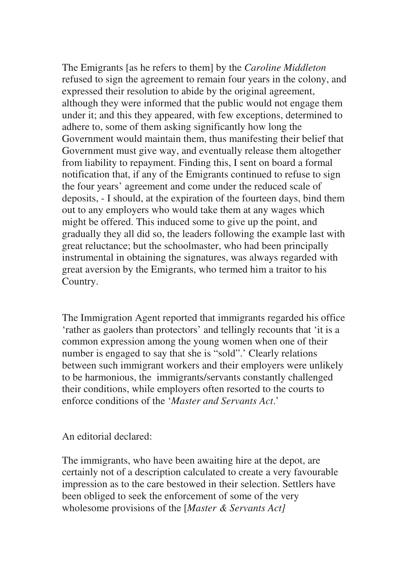The Emigrants [as he refers to them] by the *Caroline Middleton*  refused to sign the agreement to remain four years in the colony, and expressed their resolution to abide by the original agreement, although they were informed that the public would not engage them under it; and this they appeared, with few exceptions, determined to adhere to, some of them asking significantly how long the Government would maintain them, thus manifesting their belief that Government must give way, and eventually release them altogether from liability to repayment. Finding this, I sent on board a formal notification that, if any of the Emigrants continued to refuse to sign the four years' agreement and come under the reduced scale of deposits, - I should, at the expiration of the fourteen days, bind them out to any employers who would take them at any wages which might be offered. This induced some to give up the point, and gradually they all did so, the leaders following the example last with great reluctance; but the schoolmaster, who had been principally instrumental in obtaining the signatures, was always regarded with great aversion by the Emigrants, who termed him a traitor to his Country.

The Immigration Agent reported that immigrants regarded his office 'rather as gaolers than protectors' and tellingly recounts that 'it is a common expression among the young women when one of their number is engaged to say that she is "sold".' Clearly relations between such immigrant workers and their employers were unlikely to be harmonious, the immigrants/servants constantly challenged their conditions, while employers often resorted to the courts to enforce conditions of the '*Master and Servants Act*.'

## An editorial declared:

The immigrants, who have been awaiting hire at the depot, are certainly not of a description calculated to create a very favourable impression as to the care bestowed in their selection. Settlers have been obliged to seek the enforcement of some of the very wholesome provisions of the [*Master & Servants Act]*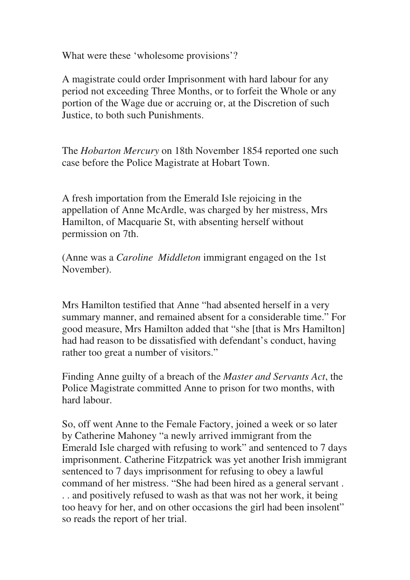What were these 'wholesome provisions'?

A magistrate could order Imprisonment with hard labour for any period not exceeding Three Months, or to forfeit the Whole or any portion of the Wage due or accruing or, at the Discretion of such Justice, to both such Punishments.

The *Hobarton Mercury* on 18th November 1854 reported one such case before the Police Magistrate at Hobart Town.

A fresh importation from the Emerald Isle rejoicing in the appellation of Anne McArdle, was charged by her mistress, Mrs Hamilton, of Macquarie St, with absenting herself without permission on 7th.

(Anne was a *Caroline Middleton* immigrant engaged on the 1st November).

Mrs Hamilton testified that Anne "had absented herself in a very summary manner, and remained absent for a considerable time." For good measure, Mrs Hamilton added that "she [that is Mrs Hamilton] had had reason to be dissatisfied with defendant's conduct, having rather too great a number of visitors."

Finding Anne guilty of a breach of the *Master and Servants Act*, the Police Magistrate committed Anne to prison for two months, with hard labour.

So, off went Anne to the Female Factory, joined a week or so later by Catherine Mahoney "a newly arrived immigrant from the Emerald Isle charged with refusing to work" and sentenced to 7 days imprisonment. Catherine Fitzpatrick was yet another Irish immigrant sentenced to 7 days imprisonment for refusing to obey a lawful command of her mistress. "She had been hired as a general servant . . . and positively refused to wash as that was not her work, it being too heavy for her, and on other occasions the girl had been insolent" so reads the report of her trial.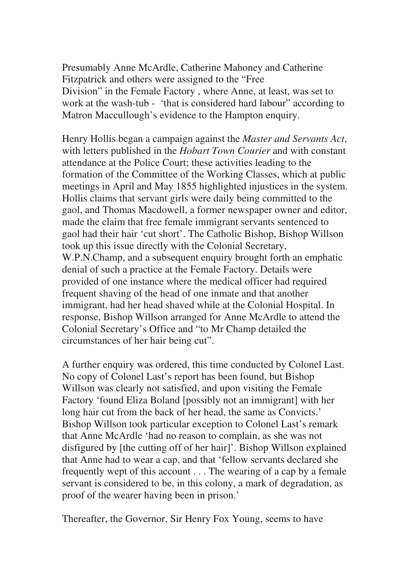Presumably Anne McArdle, Catherine Mahoney and Catherine Fitzpatrick and others were assigned to the "Free Division" in the Female Factory , where Anne, at least, was set to work at the wash-tub - 'that is considered hard labour' according to Matron Maccullough's evidence to the Hampton enquiry.

Henry Hollis began a campaign against the *Master and Servants Act*, with letters published in the *Hobart Town Courier* and with constant attendance at the Police Court; these activities leading to the formation of the Committee of the Working Classes, which at public meetings in April and May 1855 highlighted injustices in the system. Hollis claims that servant girls were daily being committed to the gaol, and Thomas Macdowell, a former newspaper owner and editor, made the claim that free female immigrant servants sentenced to gaol had their hair 'cut short'. The Catholic Bishop, Bishop Willson took up this issue directly with the Colonial Secretary, W.P.N.Champ, and a subsequent enquiry brought forth an emphatic denial of such a practice at the Female Factory. Details were provided of one instance where the medical officer had required frequent shaving of the head of one inmate and that another immigrant, had her head shaved while at the Colonial Hospital. In response, Bishop Willson arranged for Anne McArdle to attend the Colonial Secretary's Office and "to Mr Champ detailed the circumstances of her hair being cut".

A further enquiry was ordered, this time conducted by Colonel Last. No copy of Colonel Last's report has been found, but Bishop Willson was clearly not satisfied, and upon visiting the Female Factory 'found Eliza Boland [possibly not an immigrant] with her long hair cut from the back of her head, the same as Convicts.' Bishop Willson took particular exception to Colonel Last's remark that Anne McArdle 'had no reason to complain, as she was not disfigured by [the cutting off of her hair]'. Bishop Willson explained that Anne had to wear a cap, and that 'fellow servants declared she frequently wept of this account . . . The wearing of a cap by a female servant is considered to be, in this colony, a mark of degradation, as proof of the wearer having been in prison.'

Thereafter, the Governor, Sir Henry Fox Young, seems to have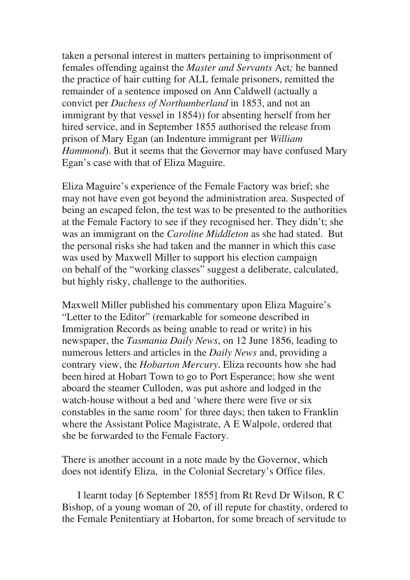taken a personal interest in matters pertaining to imprisonment of females offending against the *Master and Servants* Act*;* he banned the practice of hair cutting for ALL female prisoners, remitted the remainder of a sentence imposed on Ann Caldwell (actually a convict per *Duchess of Northumberland* in 1853, and not an immigrant by that vessel in 1854)) for absenting herself from her hired service, and in September 1855 authorised the release from prison of Mary Egan (an Indenture immigrant per *William Hammond*). But it seems that the Governor may have confused Mary Egan's case with that of Eliza Maguire.

Eliza Maguire's experience of the Female Factory was brief; she may not have even got beyond the administration area. Suspected of being an escaped felon, the test was to be presented to the authorities at the Female Factory to see if they recognised her. They didn't; she was an immigrant on the *Caroline Middleton* as she had stated. But the personal risks she had taken and the manner in which this case was used by Maxwell Miller to support his election campaign on behalf of the "working classes" suggest a deliberate, calculated, but highly risky, challenge to the authorities.

Maxwell Miller published his commentary upon Eliza Maguire's "Letter to the Editor" (remarkable for someone described in Immigration Records as being unable to read or write) in his newspaper, the *Tasmania Daily News*, on 12 June 1856, leading to numerous letters and articles in the *Daily News* and, providing a contrary view, the *Hobarton Mercury*. Eliza recounts how she had been hired at Hobart Town to go to Port Esperance; how she went aboard the steamer Culloden, was put ashore and lodged in the watch-house without a bed and 'where there were five or six constables in the same room' for three days; then taken to Franklin where the Assistant Police Magistrate, A E Walpole, ordered that she be forwarded to the Female Factory.

There is another account in a note made by the Governor, which does not identify Eliza, in the Colonial Secretary's Office files.

 I learnt today [6 September 1855] from Rt Revd Dr Wilson, R C Bishop, of a young woman of 20, of ill repute for chastity, ordered to the Female Penitentiary at Hobarton, for some breach of servitude to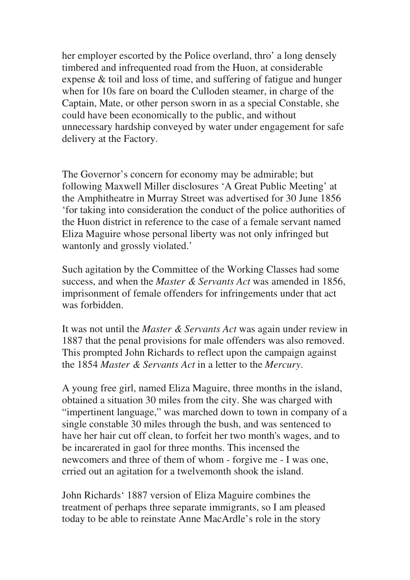her employer escorted by the Police overland, thro' a long densely timbered and infrequented road from the Huon, at considerable expense & toil and loss of time, and suffering of fatigue and hunger when for 10s fare on board the Culloden steamer, in charge of the Captain, Mate, or other person sworn in as a special Constable, she could have been economically to the public, and without unnecessary hardship conveyed by water under engagement for safe delivery at the Factory.

The Governor's concern for economy may be admirable; but following Maxwell Miller disclosures 'A Great Public Meeting' at the Amphitheatre in Murray Street was advertised for 30 June 1856 'for taking into consideration the conduct of the police authorities of the Huon district in reference to the case of a female servant named Eliza Maguire whose personal liberty was not only infringed but wantonly and grossly violated.'

Such agitation by the Committee of the Working Classes had some success, and when the *Master & Servants Act* was amended in 1856, imprisonment of female offenders for infringements under that act was forbidden.

It was not until the *Master & Servants Act* was again under review in 1887 that the penal provisions for male offenders was also removed. This prompted John Richards to reflect upon the campaign against the 1854 *Master & Servants Act* in a letter to the *Mercury*.

A young free girl, named Eliza Maguire, three months in the island, obtained a situation 30 miles from the city. She was charged with "impertinent language," was marched down to town in company of a single constable 30 miles through the bush, and was sentenced to have her hair cut off clean, to forfeit her two month's wages, and to be incarerated in gaol for three months. This incensed the newcomers and three of them of whom - forgive me - I was one, crried out an agitation for a twelvemonth shook the island.

John Richards' 1887 version of Eliza Maguire combines the treatment of perhaps three separate immigrants, so I am pleased today to be able to reinstate Anne MacArdle's role in the story